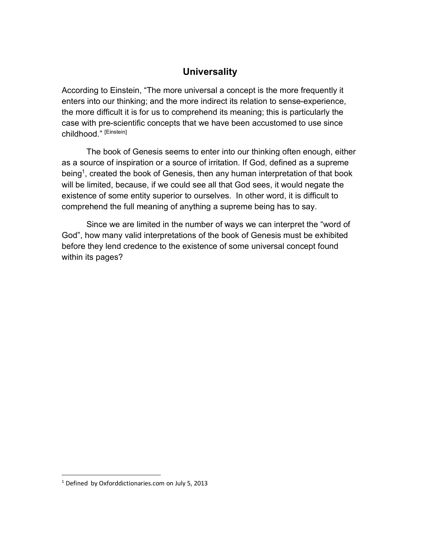## **Universality**

According to Einstein, "The more universal a concept is the more frequently it enters into our thinking; and the more indirect its relation to sense-experience, the more difficult it is for us to comprehend its meaning; this is particularly the case with pre-scientific concepts that we have been accustomed to use since childhood." [Einstein]

The book of Genesis seems to enter into our thinking often enough, either as a source of inspiration or a source of irritation. If God, defined as a supreme being<sup>1</sup>, created the book of Genesis, then any human interpretation of that book will be limited, because, if we could see all that God sees, it would negate the existence of some entity superior to ourselves. In other word, it is difficult to comprehend the full meaning of anything a supreme being has to say.

Since we are limited in the number of ways we can interpret the "word of God", how many valid interpretations of the book of Genesis must be exhibited before they lend credence to the existence of some universal concept found within its pages?

 <sup>1</sup> Defined by Oxforddictionaries.com on July 5, 2013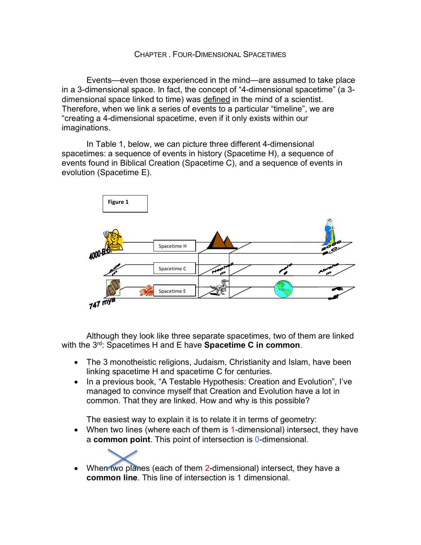Events—even those experienced in the mind—are assumed to take place in a 3-dimensional space. In fact, the concept of "4-dimensional spacetime" (a 3 dimensional space linked to time) was defined in the mind of a scientist. Therefore, when we link a series of events to a particular "timeline", we are "creating a 4-dimensional spacetime, even if it only exists within our imaginations.

In Table 1, below, we can picture three different 4-dimensional spacetimes: a sequence of events in history (Spacetime H), a sequence of events found in Biblical Creation (Spacetime C), and a sequence of events in evolution (Spacetime E).



Although they look like three separate spacetimes, two of them are linked with the 3rd: Spacetimes H and E have **Spacetime C in common**.

- The 3 monotheistic religions, Judaism, Christianity and Islam, have been linking spacetime H and spacetime C for centuries.
- In a previous book, "A Testable Hypothesis: Creation and Evolution", I've managed to convince myself that Creation and Evolution have a lot in common. That they are linked. How and why is this possible?

The easiest way to explain it is to relate it in terms of geometry:

- When two lines (where each of them is 1-dimensional) intersect, they have a **common point**. This point of intersection is 0-dimensional.
	-
- When two planes (each of them 2-dimensional) intersect, they have a **common line**. This line of intersection is 1 dimensional.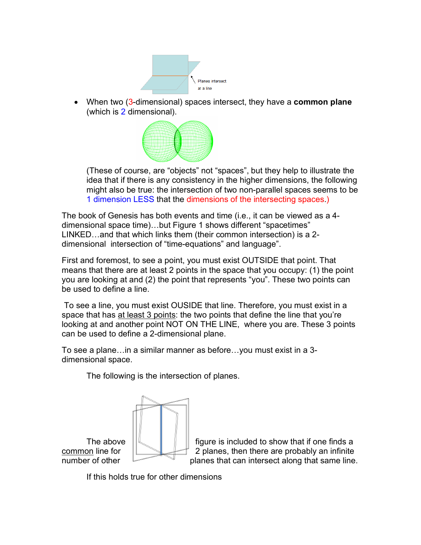

• When two (3-dimensional) spaces intersect, they have a **common plane** (which is 2 dimensional).



(These of course, are "objects" not "spaces", but they help to illustrate the idea that if there is any consistency in the higher dimensions, the following might also be true: the intersection of two non-parallel spaces seems to be 1 dimension LESS that the dimensions of the intersecting spaces.)

The book of Genesis has both events and time (i.e., it can be viewed as a 4 dimensional space time)…but Figure 1 shows different "spacetimes" LINKED…and that which links them (their common intersection) is a 2 dimensional intersection of "time-equations" and language".

First and foremost, to see a point, you must exist OUTSIDE that point. That means that there are at least 2 points in the space that you occupy: (1) the point you are looking at and (2) the point that represents "you". These two points can be used to define a line.

To see a line, you must exist OUSIDE that line. Therefore, you must exist in a space that has at least 3 points: the two points that define the line that you're looking at and another point NOT ON THE LINE, where you are. These 3 points can be used to define a 2-dimensional plane.

To see a plane…in a similar manner as before…you must exist in a 3 dimensional space.

The following is the intersection of planes.



The above  $\|\|\cdot\|$  igure is included to show that if one finds a <u>common</u> line for  $\Box$  2 planes, then there are probably an infinite number of other **planes that can intersect along that same line.** 

If this holds true for other dimensions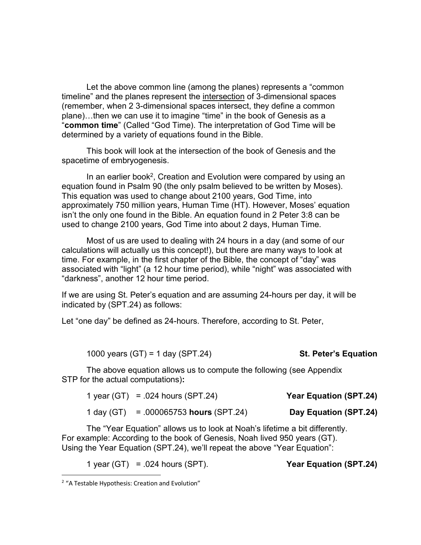Let the above common line (among the planes) represents a "common timeline" and the planes represent the intersection of 3-dimensional spaces (remember, when 2 3-dimensional spaces intersect, they define a common plane)…then we can use it to imagine "time" in the book of Genesis as a "**common time**" (Called "God Time). The interpretation of God Time will be determined by a variety of equations found in the Bible.

This book will look at the intersection of the book of Genesis and the spacetime of embryogenesis.

In an earlier book<sup>2</sup>, Creation and Evolution were compared by using an equation found in Psalm 90 (the only psalm believed to be written by Moses). This equation was used to change about 2100 years, God Time, into approximately 750 million years, Human Time (HT). However, Moses' equation isn't the only one found in the Bible. An equation found in 2 Peter 3:8 can be used to change 2100 years, God Time into about 2 days, Human Time.

Most of us are used to dealing with 24 hours in a day (and some of our calculations will actually us this concept!), but there are many ways to look at time. For example, in the first chapter of the Bible, the concept of "day" was associated with "light" (a 12 hour time period), while "night" was associated with "darkness", another 12 hour time period.

If we are using St. Peter's equation and are assuming 24-hours per day, it will be indicated by (SPT.24) as follows:

Let "one day" be defined as 24-hours. Therefore, according to St. Peter,

|  |  |  | 1000 years $(GT) = 1$ day $(SPT.24)$ | <b>St. Peter's Equation</b> |
|--|--|--|--------------------------------------|-----------------------------|
|--|--|--|--------------------------------------|-----------------------------|

The above equation allows us to compute the following (see Appendix STP for the actual computations)**:**

| <b>Year Equation (SPT.24)</b> | 1 year $(GT) = .024$ hours $(SPT.24)$  |  |
|-------------------------------|----------------------------------------|--|
| Day Equation (SPT.24)         | 1 day (GT) = .000065753 hours (SPT.24) |  |

The "Year Equation" allows us to look at Noah's lifetime a bit differently. For example: According to the book of Genesis, Noah lived 950 years (GT). Using the Year Equation (SPT.24), we'll repeat the above "Year Equation":

1 year (GT) = .024 hours (SPT). **Year Equation (SPT.24)** 

<sup>&</sup>lt;sup>2</sup> "A Testable Hypothesis: Creation and Evolution"